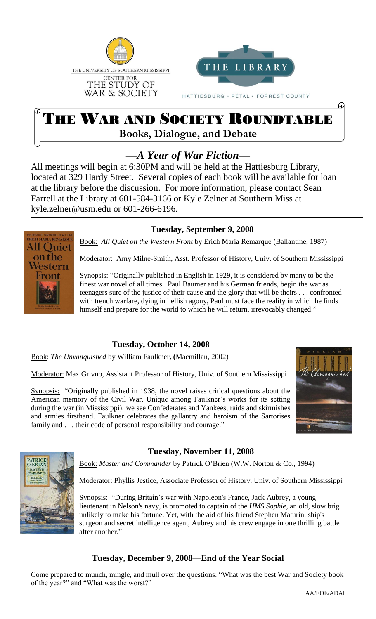



HATTIESBURG · PETAL · FORREST COUNTY

# THE WAR AND SOCIETY ROUNDTABLE **Books, Dialogue, and Debate**

# *—A Year of War Fiction—*

All meetings will begin at 6:30PM and will be held at the Hattiesburg Library, located at 329 Hardy Street. Several copies of each book will be available for loan at the library before the discussion. For more information, please contact Sean Farrell at the Library at 601-584-3166 or Kyle Zelner at Southern Miss at kyle.zelner@usm.edu or 601-266-6196.

#### **Tuesday, September 9, 2008**

Book: *All Quiet on the Western Front* by Erich Maria Remarque (Ballantine, 1987)

Moderator: Amy Milne-Smith, Asst. Professor of History, Univ. of Southern Mississippi

Synopsis: "Originally published in English in 1929, it is considered by many to be the finest war novel of all times. Paul Baumer and his German friends, begin the war as teenagers sure of the justice of their cause and the glory that will be theirs . . . confronted with trench warfare, dying in hellish agony, Paul must face the reality in which he finds himself and prepare for the world to which he will return, irrevocably changed."

## **Tuesday, October 14, 2008**

Book: *The Unvanquished* by William Faulkner**, (**Macmillan, 2002)

Moderator: Max Grivno, Assistant Professor of History, Univ. of Southern Mississippi

Synopsis: "Originally published in 1938, the novel raises critical questions about the American memory of the Civil War. Unique among Faulkner's works for its setting during the war (in Mississippi); we see Confederates and Yankees, raids and skirmishes and armies firsthand. Faulkner celebrates the gallantry and heroism of the Sartorises family and . . . their code of personal responsibility and courage."



ω



i<br>I

HE GREATEST WAR NOVEL OF ALL TIM<br>E**RICH MARIA REMARQUI All Ouiet** on the estern

#### **Tuesday, November 11, 2008**

Book: *Master and Commander* by Patrick O'Brien (W.W. Norton & Co., 1994)

Moderator: Phyllis Jestice, Associate Professor of History, Univ. of Southern Mississippi

Synopsis: "During Britain's war with Napoleon's France, Jack Aubrey, a young lieutenant in Nelson's navy, is promoted to captain of the *HMS Sophie*, an old, slow brig unlikely to make his fortune. Yet, with the aid of his friend Stephen Maturin, ship's surgeon and secret intelligence agent, Aubrey and his crew engage in one thrilling battle after another."

#### **Tuesday, December 9, 2008—End of the Year Social**

Come prepared to munch, mingle, and mull over the questions: "What was the best War and Society book of the year?" and "What was the worst?"